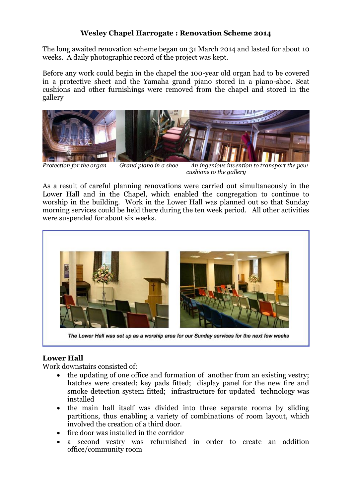## **Wesley Chapel Harrogate : Renovation Scheme 2014**

The long awaited renovation scheme began on 31 March 2014 and lasted for about 10 weeks. A daily photographic record of the project was kept.

Before any work could begin in the chapel the 100-year old organ had to be covered in a protective sheet and the Yamaha grand piano stored in a piano-shoe. Seat cushions and other furnishings were removed from the chapel and stored in the gallery



*Protection for the organ Grand piano in a shoe An ingenious invention to transport the pew cushions to the gallery*

As a result of careful planning renovations were carried out simultaneously in the Lower Hall and in the Chapel, which enabled the congregation to continue to worship in the building. Work in the Lower Hall was planned out so that Sunday morning services could be held there during the ten week period. All other activities were suspended for about six weeks.



# **Lower Hall**

Work downstairs consisted of:

- the updating of one office and formation of another from an existing vestry; hatches were created; key pads fitted; display panel for the new fire and smoke detection system fitted; infrastructure for updated technology was installed
- the main hall itself was divided into three separate rooms by sliding partitions, thus enabling a variety of combinations of room layout, which involved the creation of a third door.
- fire door was installed in the corridor
- a second vestry was refurnished in order to create an addition office/community room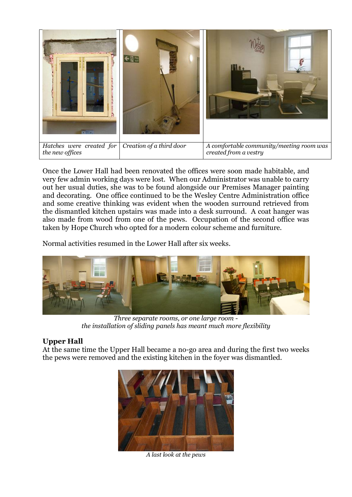

Once the Lower Hall had been renovated the offices were soon made habitable, and very few admin working days were lost. When our Administrator was unable to carry out her usual duties, she was to be found alongside our Premises Manager painting and decorating. One office continued to be the Wesley Centre Administration office and some creative thinking was evident when the wooden surround retrieved from the dismantled kitchen upstairs was made into a desk surround. A coat hanger was also made from wood from one of the pews. Occupation of the second office was taken by Hope Church who opted for a modern colour scheme and furniture.

Normal activities resumed in the Lower Hall after six weeks.



*Three separate rooms, or one large room the installation of sliding panels has meant much more flexibility*

## **Upper Hall**

At the same time the Upper Hall became a no-go area and during the first two weeks the pews were removed and the existing kitchen in the foyer was dismantled.



*A last look at the pews*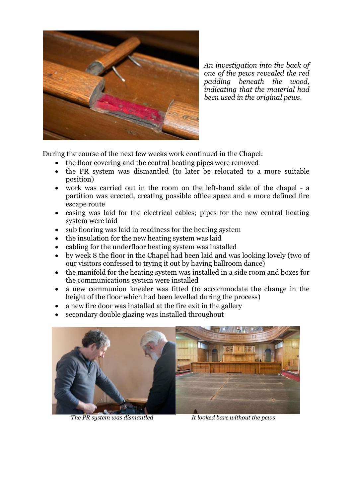

*An investigation into the back of one of the pews revealed the red padding beneath the wood, indicating that the material had been used in the original pews.*

During the course of the next few weeks work continued in the Chapel:

- the floor covering and the central heating pipes were removed
- the PR system was dismantled (to later be relocated to a more suitable position)
- work was carried out in the room on the left-hand side of the chapel a partition was erected, creating possible office space and a more defined fire escape route
- casing was laid for the electrical cables; pipes for the new central heating system were laid
- sub flooring was laid in readiness for the heating system
- the insulation for the new heating system was laid
- cabling for the underfloor heating system was installed
- by week 8 the floor in the Chapel had been laid and was looking lovely (two of our visitors confessed to trying it out by having ballroom dance)
- the manifold for the heating system was installed in a side room and boxes for the communications system were installed
- a new communion kneeler was fitted (to accommodate the change in the height of the floor which had been levelled during the process)
- a new fire door was installed at the fire exit in the gallery
- secondary double glazing was installed throughout

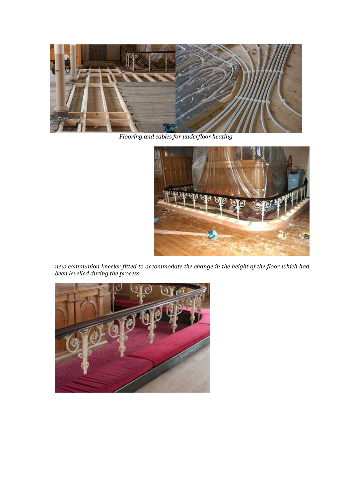

*Flooring and cables for underfloor heating*



*new communion kneeler fitted to accommodate the change in the height of the floor which had been levelled during the process*

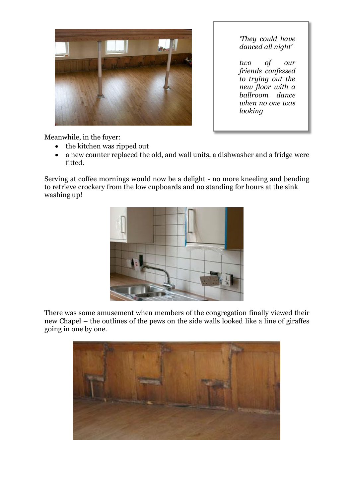

*'They could have danced all night'* 

*two of our friends confessed to trying out the new floor with a ballroom dance when no one was looking*

Meanwhile, in the foyer:

- the kitchen was ripped out
- a new counter replaced the old, and wall units, a dishwasher and a fridge were fitted.

Serving at coffee mornings would now be a delight - no more kneeling and bending to retrieve crockery from the low cupboards and no standing for hours at the sink washing up!



There was some amusement when members of the congregation finally viewed their new Chapel – the outlines of the pews on the side walls looked like a line of giraffes going in one by one.

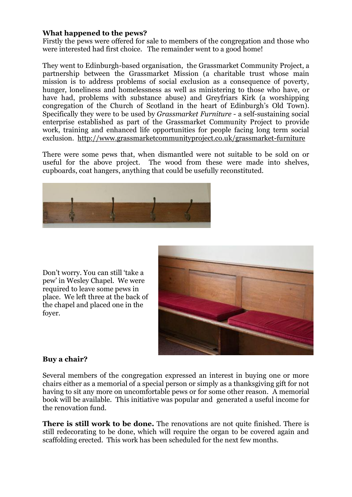### **What happened to the pews?**

Firstly the pews were offered for sale to members of the congregation and those who were interested had first choice. The remainder went to a good home!

They went to Edinburgh-based organisation, the Grassmarket Community Project, a partnership between the Grassmarket Mission (a charitable trust whose main mission is to address problems of social exclusion as a consequence of poverty, hunger, loneliness and homelessness as well as ministering to those who have, or have had, problems with substance abuse) and Greyfriars Kirk (a worshipping congregation of the Church of Scotland in the heart of Edinburgh's Old Town). Specifically they were to be used by *Grassmarket Furniture* - a self-sustaining social enterprise established as part of the Grassmarket Community Project to provide work, training and enhanced life opportunities for people facing long term social exclusion. <http://www.grassmarketcommunityproject.co.uk/grassmarket-furniture>

There were some pews that, when dismantled were not suitable to be sold on or useful for the above project. The wood from these were made into shelves, cupboards, coat hangers, anything that could be usefully reconstituted.



Don't worry. You can still 'take a pew' in Wesley Chapel. We were required to leave some pews in place. We left three at the back of the chapel and placed one in the foyer.



#### **Buy a chair?**

Several members of the congregation expressed an interest in buying one or more chairs either as a memorial of a special person or simply as a thanksgiving gift for not having to sit any more on uncomfortable pews or for some other reason. A memorial book will be available. This initiative was popular and generated a useful income for the renovation fund.

**There is still work to be done.** The renovations are not quite finished. There is still redecorating to be done, which will require the organ to be covered again and scaffolding erected. This work has been scheduled for the next few months.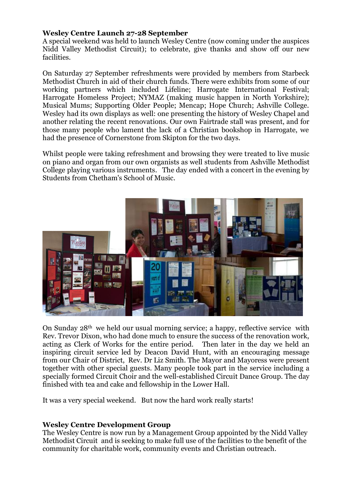### **Wesley Centre Launch 27-28 September**

A special weekend was held to launch Wesley Centre (now coming under the auspices Nidd Valley Methodist Circuit); to celebrate, give thanks and show off our new facilities.

On Saturday 27 September refreshments were provided by members from Starbeck Methodist Church in aid of their church funds. There were exhibits from some of our working partners which included Lifeline; Harrogate International Festival; Harrogate Homeless Project; NYMAZ (making music happen in North Yorkshire); Musical Mums; Supporting Older People; Mencap; Hope Church; Ashville College. Wesley had its own displays as well: one presenting the history of Wesley Chapel and another relating the recent renovations. Our own Fairtrade stall was present, and for those many people who lament the lack of a Christian bookshop in Harrogate, we had the presence of Cornerstone from Skipton for the two days.

Whilst people were taking refreshment and browsing they were treated to live music on piano and organ from our own organists as well students from Ashville Methodist College playing various instruments. The day ended with a concert in the evening by Students from Chetham's School of Music.



On Sunday 28th we held our usual morning service; a happy, reflective service with Rev. Trevor Dixon, who had done much to ensure the success of the renovation work, acting as Clerk of Works for the entire period. Then later in the day we held an inspiring circuit service led by Deacon David Hunt, with an encouraging message from our Chair of District, Rev. Dr Liz Smith. The Mayor and Mayoress were present together with other special guests. Many people took part in the service including a specially formed Circuit Choir and the well-established Circuit Dance Group. The day finished with tea and cake and fellowship in the Lower Hall.

It was a very special weekend. But now the hard work really starts!

#### **Wesley Centre Development Group**

The Wesley Centre is now run by a Management Group appointed by the Nidd Valley Methodist Circuit and is seeking to make full use of the facilities to the benefit of the community for charitable work, community events and Christian outreach.